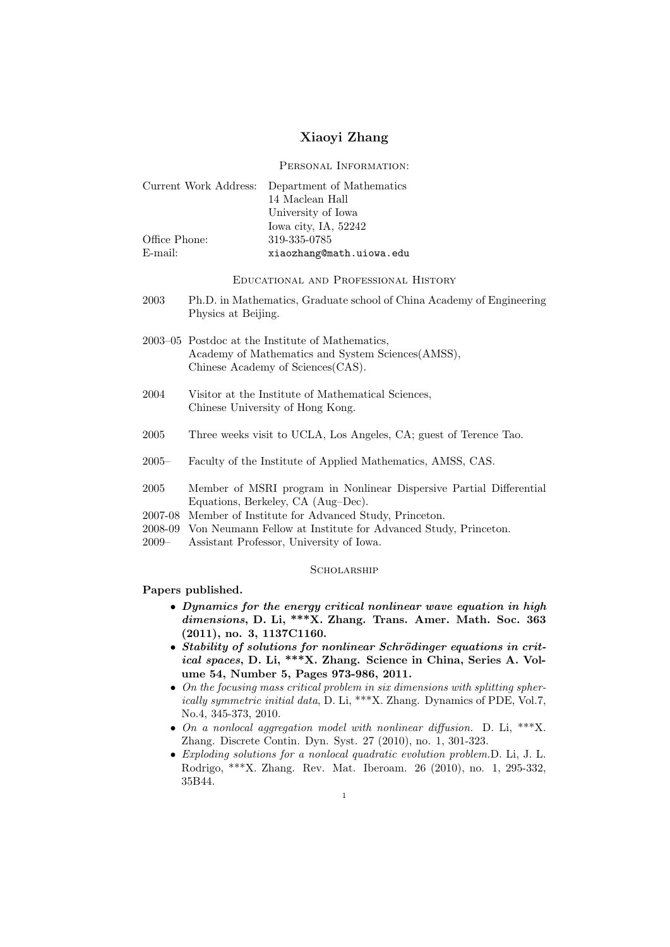# Xiaoyi Zhang

Personal Information:

|               | Current Work Address: Department of Mathematics |
|---------------|-------------------------------------------------|
|               | 14 Maclean Hall                                 |
|               | University of Iowa                              |
|               | Iowa city, IA, 52242                            |
| Office Phone: | 319-335-0785                                    |
| E-mail:       | xiaozhang@math.uiowa.edu                        |

Educational and Professional History

- 2003 Ph.D. in Mathematics, Graduate school of China Academy of Engineering Physics at Beijing.
- 2003–05 Postdoc at the Institute of Mathematics, Academy of Mathematics and System Sciences(AMSS), Chinese Academy of Sciences(CAS).
- 2004 Visitor at the Institute of Mathematical Sciences, Chinese University of Hong Kong.
- 2005 Three weeks visit to UCLA, Los Angeles, CA; guest of Terence Tao.
- 2005– Faculty of the Institute of Applied Mathematics, AMSS, CAS.
- 2005 Member of MSRI program in Nonlinear Dispersive Partial Differential Equations, Berkeley, CA (Aug–Dec).
- 2007-08 Member of Institute for Advanced Study, Princeton.
- 2008-09 Von Neumann Fellow at Institute for Advanced Study, Princeton.
- 2009– Assistant Professor, University of Iowa.

#### **SCHOLARSHIP**

### Papers published.

- Dynamics for the energy critical nonlinear wave equation in high dimensions, D. Li, \*\*\*X. Zhang. Trans. Amer. Math. Soc. 363 (2011), no. 3, 1137C1160.
- Stability of solutions for nonlinear Schrödinger equations in critical spaces, D. Li, \*\*\*X. Zhang. Science in China, Series A. Volume 54, Number 5, Pages 973-986, 2011.
- On the focusing mass critical problem in six dimensions with splitting spherically symmetric initial data, D. Li, \*\*\*X. Zhang. Dynamics of PDE, Vol.7, No.4, 345-373, 2010.
- On a nonlocal aggregation model with nonlinear diffusion. D. Li, \*\*\*X. Zhang. Discrete Contin. Dyn. Syst. 27 (2010), no. 1, 301-323.
- Exploding solutions for a nonlocal quadratic evolution problem.D. Li, J. L. Rodrigo, \*\*\*X. Zhang. Rev. Mat. Iberoam. 26 (2010), no. 1, 295-332, 35B44.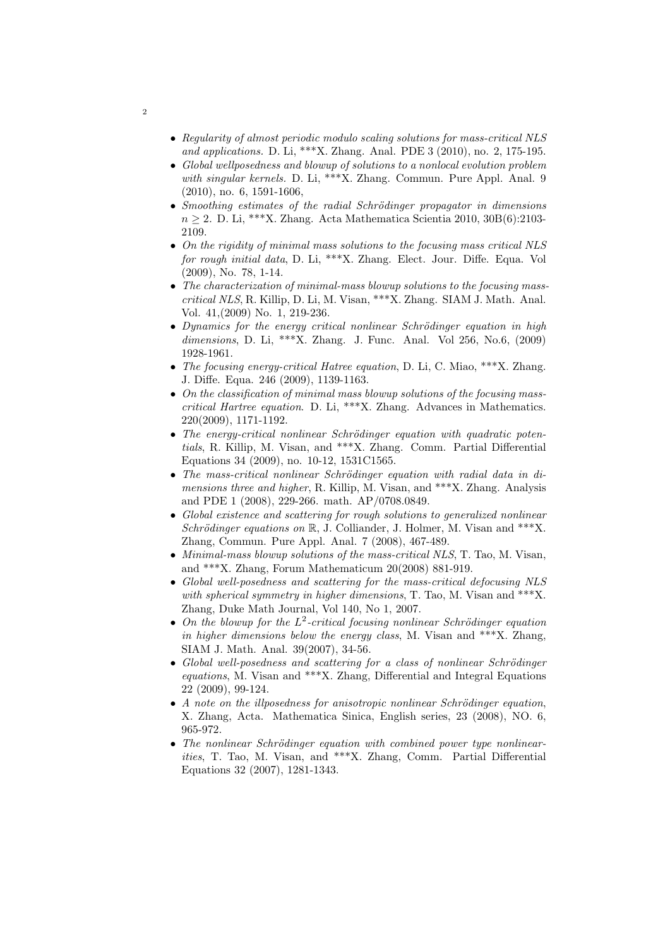- Regularity of almost periodic modulo scaling solutions for mass-critical NLS and applications. D. Li, \*\*\*X. Zhang. Anal. PDE 3 (2010), no. 2, 175-195.
- Global wellposedness and blowup of solutions to a nonlocal evolution problem with singular kernels. D. Li, \*\*\*X. Zhang. Commun. Pure Appl. Anal. 9 (2010), no. 6, 1591-1606,
- Smoothing estimates of the radial Schrödinger propagator in dimensions  $n > 2$ . D. Li, \*\*\*X. Zhang. Acta Mathematica Scientia 2010, 30B(6):2103-2109.
- On the rigidity of minimal mass solutions to the focusing mass critical NLS for rough initial data, D. Li, \*\*\*X. Zhang. Elect. Jour. Diffe. Equa. Vol (2009), No. 78, 1-14.
- The characterization of minimal-mass blowup solutions to the focusing masscritical NLS, R. Killip, D. Li, M. Visan, \*\*\*X. Zhang. SIAM J. Math. Anal. Vol. 41,(2009) No. 1, 219-236.
- Dynamics for the energy critical nonlinear Schrödinger equation in high dimensions, D. Li, \*\*\*X. Zhang. J. Func. Anal. Vol 256, No.6, (2009) 1928-1961.
- The focusing energy-critical Hatree equation, D. Li, C. Miao, \*\*\*X. Zhang. J. Diffe. Equa. 246 (2009), 1139-1163.
- On the classification of minimal mass blowup solutions of the focusing masscritical Hartree equation. D. Li, \*\*\*X. Zhang. Advances in Mathematics. 220(2009), 1171-1192.
- The energy-critical nonlinear Schrödinger equation with quadratic potentials, R. Killip, M. Visan, and \*\*\*X. Zhang. Comm. Partial Differential Equations 34 (2009), no. 10-12, 1531C1565.
- The mass-critical nonlinear Schrödinger equation with radial data in dimensions three and higher, R. Killip, M. Visan, and \*\*\*X. Zhang. Analysis and PDE 1 (2008), 229-266. math. AP/0708.0849.
- Global existence and scattering for rough solutions to generalized nonlinear Schrödinger equations on  $\mathbb{R}$ , J. Colliander, J. Holmer, M. Visan and \*\*\*X. Zhang, Commun. Pure Appl. Anal. 7 (2008), 467-489.
- Minimal-mass blowup solutions of the mass-critical NLS, T. Tao, M. Visan, and \*\*\*X. Zhang, Forum Mathematicum 20(2008) 881-919.
- Global well-posedness and scattering for the mass-critical defocusing NLS with spherical symmetry in higher dimensions, T. Tao, M. Visan and \*\*\*X. Zhang, Duke Math Journal, Vol 140, No 1, 2007.
- On the blowup for the  $L^2$ -critical focusing nonlinear Schrödinger equation in higher dimensions below the energy class, M. Visan and  $**$  $X$ . Zhang, SIAM J. Math. Anal. 39(2007), 34-56.
- Global well-posedness and scattering for a class of nonlinear Schrödinger equations, M. Visan and \*\*\*X. Zhang, Differential and Integral Equations 22 (2009), 99-124.
- A note on the illposedness for anisotropic nonlinear Schrödinger equation, X. Zhang, Acta. Mathematica Sinica, English series, 23 (2008), NO. 6, 965-972.
- The nonlinear Schrödinger equation with combined power type nonlinearities, T. Tao, M. Visan, and \*\*\*X. Zhang, Comm. Partial Differential Equations 32 (2007), 1281-1343.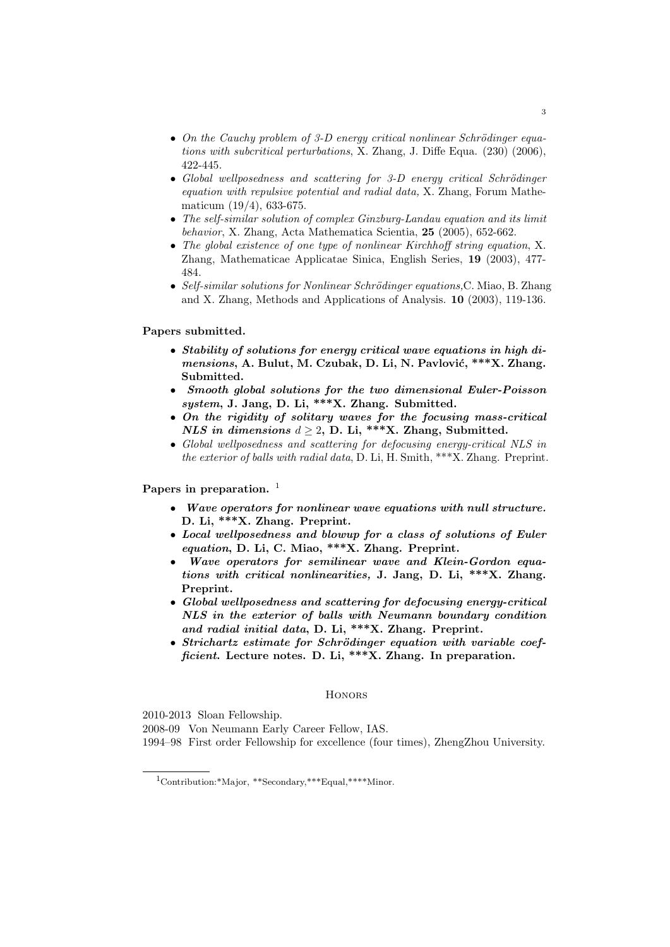- On the Cauchy problem of 3-D energy critical nonlinear Schrödinger equations with subcritical perturbations, X. Zhang, J. Diffe Equa. (230) (2006), 422-445.
- Global wellposedness and scattering for  $3-D$  energy critical Schrödinger equation with repulsive potential and radial data, X. Zhang, Forum Mathematicum (19/4), 633-675.
- The self-similar solution of complex Ginzburg-Landau equation and its limit behavior, X. Zhang, Acta Mathematica Scientia, 25 (2005), 652-662.
- The global existence of one type of nonlinear Kirchhoff string equation, X. Zhang, Mathematicae Applicatae Sinica, English Series, 19 (2003), 477- 484.
- Self-similar solutions for Nonlinear Schrödinger equations, C. Miao, B. Zhang and X. Zhang, Methods and Applications of Analysis. 10 (2003), 119-136.

### Papers submitted.

- Stability of solutions for energy critical wave equations in high dimensions, A. Bulut, M. Czubak, D. Li, N. Pavlović, \*\*\*X. Zhang. Submitted.
- Smooth global solutions for the two dimensional Euler-Poisson system, J. Jang, D. Li, \*\*\*X. Zhang. Submitted.
- On the rigidity of solitary waves for the focusing mass-critical NLS in dimensions  $d \geq 2$ , D. Li, \*\*\*X. Zhang, Submitted.
- Global wellposedness and scattering for defocusing energy-critical NLS in the exterior of balls with radial data, D. Li, H. Smith, \*\*\*X. Zhang. Preprint.

Papers in preparation.  $<sup>1</sup>$ </sup>

- Wave operators for nonlinear wave equations with null structure. D. Li, \*\*\*X. Zhang. Preprint.
- Local wellposedness and blowup for a class of solutions of Euler equation, D. Li, C. Miao, \*\*\*X. Zhang. Preprint.
- Wave operators for semilinear wave and Klein-Gordon equations with critical nonlinearities, J. Jang, D. Li, \*\*\*X. Zhang. Preprint.
- Global wellposedness and scattering for defocusing energy-critical NLS in the exterior of balls with Neumann boundary condition and radial initial data, D. Li, \*\*\*X. Zhang. Preprint.
- $\bullet$  Strichartz estimate for Schrödinger equation with variable coefficient. Lecture notes. D. Li, \*\*\*X. Zhang. In preparation.

### **HONORS**

2010-2013 Sloan Fellowship.

2008-09 Von Neumann Early Career Fellow, IAS.

1994–98 First order Fellowship for excellence (four times), ZhengZhou University.

<sup>1</sup>Contribution:\*Major, \*\*Secondary,\*\*\*Equal,\*\*\*\*Minor.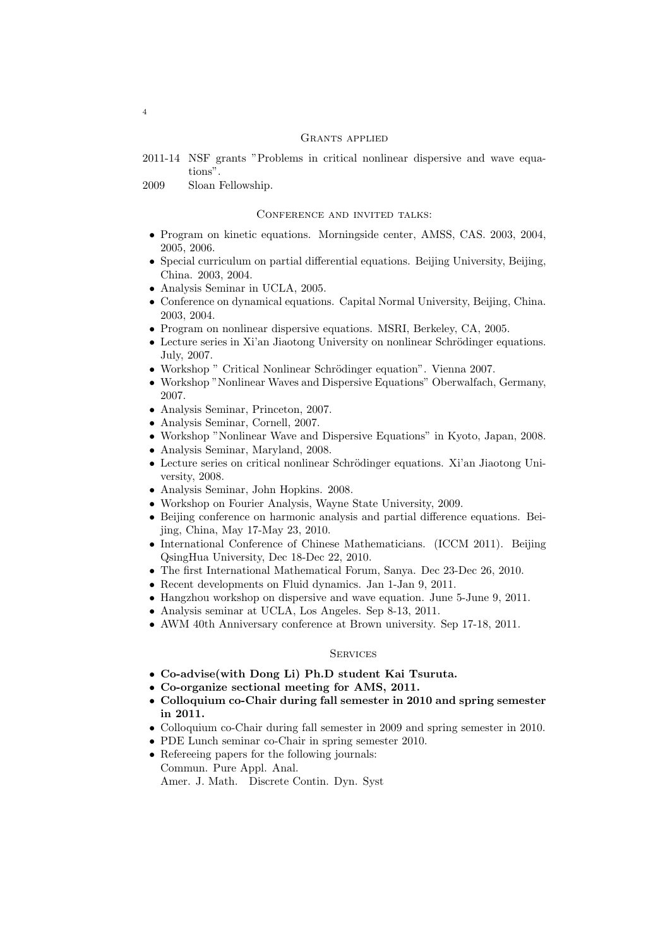#### Grants applied

- 2011-14 NSF grants "Problems in critical nonlinear dispersive and wave equations".
- 2009 Sloan Fellowship.

#### Conference and invited talks:

- Program on kinetic equations. Morningside center, AMSS, CAS. 2003, 2004, 2005, 2006.
- Special curriculum on partial differential equations. Beijing University, Beijing, China. 2003, 2004.
- Analysis Seminar in UCLA, 2005.
- Conference on dynamical equations. Capital Normal University, Beijing, China. 2003, 2004.
- Program on nonlinear dispersive equations. MSRI, Berkeley, CA, 2005.
- $\bullet~$  Lecture series in Xi'an Jiaotong University on nonlinear Schrödinger equations. July, 2007.
- Workshop " Critical Nonlinear Schrödinger equation". Vienna 2007.
- Workshop "Nonlinear Waves and Dispersive Equations" Oberwalfach, Germany, 2007.
- Analysis Seminar, Princeton, 2007.
- Analysis Seminar, Cornell, 2007.
- Workshop "Nonlinear Wave and Dispersive Equations" in Kyoto, Japan, 2008.
- Analysis Seminar, Maryland, 2008.
- Lecture series on critical nonlinear Schrödinger equations. Xi'an Jiaotong University, 2008.
- Analysis Seminar, John Hopkins. 2008.
- Workshop on Fourier Analysis, Wayne State University, 2009.
- Beijing conference on harmonic analysis and partial difference equations. Beijing, China, May 17-May 23, 2010.
- International Conference of Chinese Mathematicians. (ICCM 2011). Beijing QsingHua University, Dec 18-Dec 22, 2010.
- The first International Mathematical Forum, Sanya. Dec 23-Dec 26, 2010.
- Recent developments on Fluid dynamics. Jan 1-Jan 9, 2011.
- Hangzhou workshop on dispersive and wave equation. June 5-June 9, 2011.
- Analysis seminar at UCLA, Los Angeles. Sep 8-13, 2011.
- AWM 40th Anniversary conference at Brown university. Sep 17-18, 2011.

### **SERVICES**

- Co-advise(with Dong Li) Ph.D student Kai Tsuruta.
- Co-organize sectional meeting for AMS, 2011.
- Colloquium co-Chair during fall semester in 2010 and spring semester in 2011.
- Colloquium co-Chair during fall semester in 2009 and spring semester in 2010.
- PDE Lunch seminar co-Chair in spring semester 2010.
- Refereeing papers for the following journals: Commun. Pure Appl. Anal. Amer. J. Math. Discrete Contin. Dyn. Syst